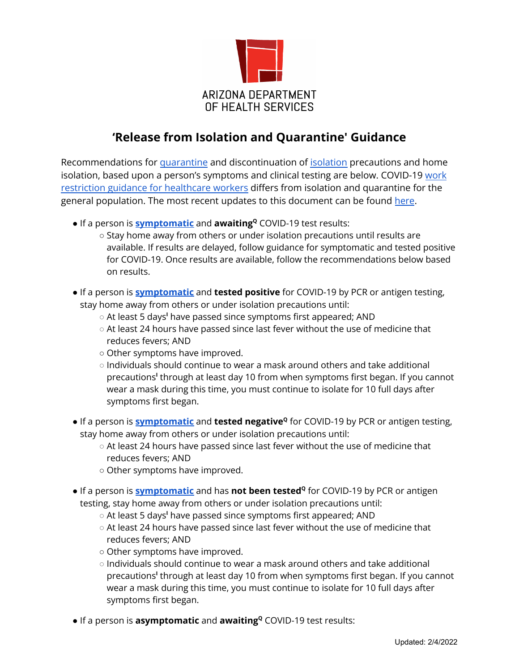

# **'Release from Isolation and Quarantine' Guidance**

Recommendations for [quarantine](#page-4-0) and discontinuation of [isolation](#page-4-0) precautions and home isolation, based upon a person's symptoms and clinical testing are below. COVID-19 [work](https://www.cdc.gov/coronavirus/2019-ncov/hcp/guidance-risk-assesment-hcp.html) restriction guidance for [healthcare](https://www.cdc.gov/coronavirus/2019-ncov/hcp/guidance-risk-assesment-hcp.html) workers differs from isolation and quarantine for the general population. The most recent updates to this document can be found [here](#page-4-1).

- <span id="page-0-0"></span>● If a person is **[symptomatic](#page-4-0)** and **awaiting<sup>Q</sup>** COVID-19 test results:
	- Stay home away from others or under isolation precautions until results are available. If results are delayed, follow guidance for symptomatic and tested positive for COVID-19. Once results are available, follow the recommendations below based on results.
- If a person is **[symptomatic](#page-4-0)** and **tested positive** for COVID-19 by PCR or antigen testing, stay home away from others or under isolation precautions until:
	- At least 5 days**<sup>I</sup>** have passed since symptoms first appeared; AND
	- $\circ$  At least 24 hours have passed since last fever without the use of medicine that reduces fevers; AND
	- Other symptoms have improved.
	- Individuals should continue to wear a mask around others and take additional precautions<sup>I</sup> through at least day 10 from when symptoms first began. If you cannot wear a mask during this time, you must continue to isolate for 10 full days after symptoms first began.
- If a person is **[symptomatic](#page-4-0)** and **tested negative<sup>Q</sup> for COVID-19 by PCR or antigen testing,** stay home away from others or under isolation precautions until:
	- At least 24 hours have passed since last fever without the use of medicine that reduces fevers; AND
	- Other symptoms have improved.
- If a person is **[symptomatic](#page-4-0)** and has **not been tested<sup>Q</sup> for COVID-19 by PCR or antigen** testing, stay home away from others or under isolation precautions until:
	- At least 5 days**<sup>I</sup>** have passed since symptoms first appeared; AND
	- $\circ$  At least 24 hours have passed since last fever without the use of medicine that reduces fevers; AND
	- Other symptoms have improved.
	- Individuals should continue to wear a mask around others and take additional precautions<sup>I</sup> through at least day 10 from when symptoms first began. If you cannot wear a mask during this time, you must continue to isolate for 10 full days after symptoms first began.
- If a person is **asymptomatic** and **awaiting<sup>Q</sup>** COVID-19 test results: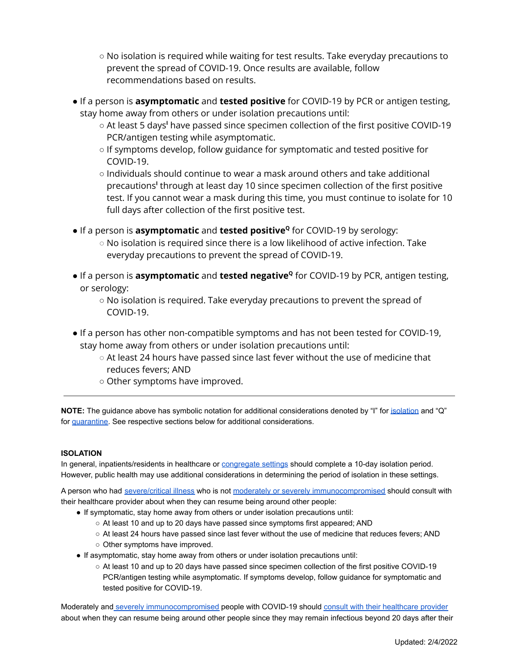- No isolation is required while waiting for test results. Take everyday precautions to prevent the spread of COVID-19. Once results are available, follow recommendations based on results.
- If a person is **asymptomatic** and **tested positive** for COVID-19 by PCR or antigen testing, stay home away from others or under isolation precautions until:
	- At least 5 days**<sup>I</sup>** have passed since specimen collection of the first positive COVID-19 PCR/antigen testing while asymptomatic.
	- If symptoms develop, follow guidance for symptomatic and tested positive for COVID-19.
	- Individuals should continue to wear a mask around others and take additional precautions<sup>I</sup> through at least day 10 since specimen collection of the first positive test. If you cannot wear a mask during this time, you must continue to isolate for 10 full days after collection of the first positive test.
- **•** If a person is **asymptomatic** and **tested positive<sup>Q</sup>** for COVID-19 by serology:
	- $\circ$  No isolation is required since there is a low likelihood of active infection. Take everyday precautions to prevent the spread of COVID-19.
- If a person is **asymptomatic** and **tested negative<sup>Q</sup>** for COVID-19 by PCR, antigen testing, or serology:
	- No isolation is required. Take everyday precautions to prevent the spread of COVID-19.
- If a person has other non-compatible symptoms and has not been tested for COVID-19, stay home away from others or under isolation precautions until:
	- $\circ$  At least 24 hours have passed since last fever without the use of medicine that reduces fevers; AND
	- Other symptoms have improved.

**NOTE:** The guidance above has symbolic notation for additional considerations denoted by "I" for [isolation](#page-1-0) and "Q" for [quarantine.](#page-2-0) See respective sections below for additional considerations.

### <span id="page-1-0"></span>**ISOLATION**

In general, inpatients/residents in healthcare or [congregate settings](#page-4-0) should complete a 10-day isolation period. However, public health may use additional considerations in determining the period of isolation in these settings.

A person who had [severe/critical illness](#page-4-0) who is not [moderately or severely immunocompromised](#page-4-0) should consult with their healthcare provider about when they can resume being around other people:

- If symptomatic, stay home away from others or under isolation precautions until:
	- At least 10 and up to 20 days have passed since symptoms first appeared; AND
	- At least 24 hours have passed since last fever without the use of medicine that reduces fevers; AND
	- Other symptoms have improved.
- If asymptomatic, stay home away from others or under isolation precautions until:
	- At least 10 and up to 20 days have passed since specimen collection of the first positive COVID-19 PCR/antigen testing while asymptomatic. If symptoms develop, follow guidance for symptomatic and tested positive for COVID-19.

Moderately and [severely immunocompromised](#page-4-0) people with COVID-19 should [consult with their healthcare provider](https://www.cdc.gov/coronavirus/2019-ncov/hcp/infection-control-recommendations.html#anchor_1604360721943) about when they can resume being around other people since they may remain infectious beyond 20 days after their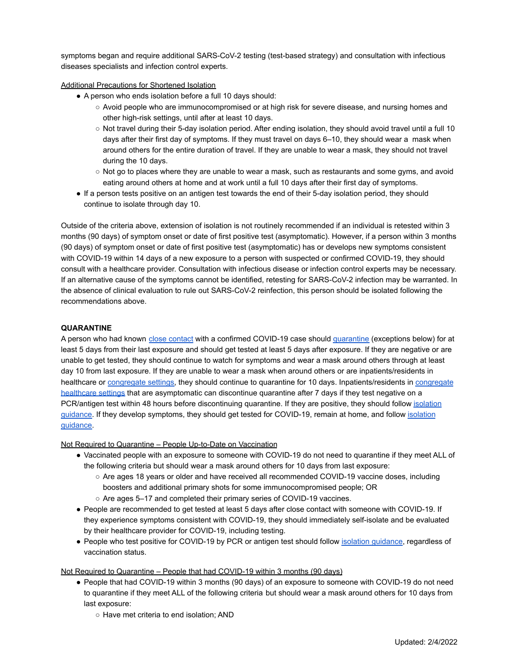symptoms began and require additional SARS-CoV-2 testing (test-based strategy) and consultation with infectious diseases specialists and infection control experts.

Additional Precautions for Shortened Isolation

- A person who ends isolation before a full 10 days should:
	- Avoid people who are immunocompromised or at high risk for severe disease, and nursing homes and other high-risk settings, until after at least 10 days.
	- Not travel during their 5-day isolation period. After ending isolation, they should avoid travel until a full 10 days after their first day of symptoms. If they must travel on days 6–10, they should wear a mask when around others for the entire duration of travel. If they are unable to wear a mask, they should not travel during the 10 days.
	- Not go to places where they are unable to wear a mask, such as restaurants and some gyms, and avoid eating around others at home and at work until a full 10 days after their first day of symptoms.
- If a person tests positive on an antigen test towards the end of their 5-day isolation period, they should continue to isolate through day 10.

Outside of the criteria above, extension of isolation is not routinely recommended if an individual is retested within 3 months (90 days) of symptom onset or date of first positive test (asymptomatic). However, if a person within 3 months (90 days) of symptom onset or date of first positive test (asymptomatic) has or develops new symptoms consistent with COVID-19 within 14 days of a new exposure to a person with suspected or confirmed COVID-19, they should consult with a healthcare provider. Consultation with infectious disease or infection control experts may be necessary. If an alternative cause of the symptoms cannot be identified, retesting for SARS-CoV-2 infection may be warranted. In the absence of clinical evaluation to rule out SARS-CoV-2 reinfection, this person should be isolated following the recommendations above.

#### <span id="page-2-0"></span>**QUARANTINE**

A person who had known [close contact](#page-4-0) with a confirmed COVID-19 case should [quarantine](#page-4-0) (exceptions below) for at least 5 days from their last exposure and should get tested at least 5 days after exposure. If they are negative or are unable to get tested, they should continue to watch for symptoms and wear a mask around others through at least day 10 from last exposure. If they are unable to wear a mask when around others or are inpatients/residents in healthcare or [congregate settings,](#page-4-0) they should continue to quarantine for 10 days. Inpatients/residents in [congregate](#page-4-0) [healthcare settings](#page-4-0) that are asymptomatic can discontinue quarantine after 7 days if they test negative on a PCR/antigen test within 48 hours before discontinuing quarantine. If they are positive, they should follow [isolation](#page-0-0) [guidance.](#page-0-0) If they develop symptoms, they should get tested for COVID-19, remain at home, and follow [isolation](#page-0-0) [guidance.](#page-0-0)

Not Required to Quarantine – People Up-to-Date on Vaccination

- Vaccinated people with an exposure to someone with COVID-19 do not need to quarantine if they meet ALL of the following criteria but should wear a mask around others for 10 days from last exposure:
	- Are ages 18 years or older and have received all recommended COVID-19 vaccine doses, including boosters and additional primary shots for some immunocompromised people; OR
	- Are ages 5–17 and completed their primary series of COVID-19 vaccines.
- People are recommended to get tested at least 5 days after close contact with someone with COVID-19. If they experience symptoms consistent with COVID-19, they should immediately self-isolate and be evaluated by their healthcare provider for COVID-19, including testing.
- People who test positive for COVID-19 by PCR or antigen test should follow *isolation quidance*, regardless of vaccination status.

Not Required to Quarantine – People that had COVID-19 within 3 months (90 days)

- People that had COVID-19 within 3 months (90 days) of an exposure to someone with COVID-19 do not need to quarantine if they meet ALL of the following criteria but should wear a mask around others for 10 days from last exposure:
	- Have met criteria to end isolation; AND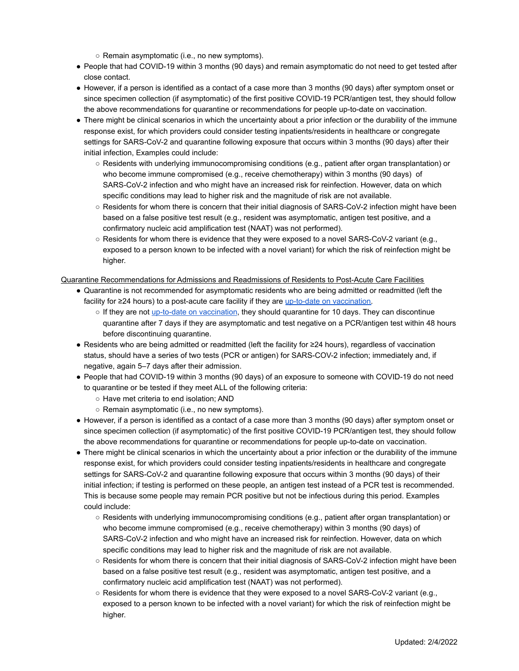○ Remain asymptomatic (i.e., no new symptoms).

- People that had COVID-19 within 3 months (90 days) and remain asymptomatic do not need to get tested after close contact.
- However, if a person is identified as a contact of a case more than 3 months (90 days) after symptom onset or since specimen collection (if asymptomatic) of the first positive COVID-19 PCR/antigen test, they should follow the above recommendations for quarantine or recommendations for people up-to-date on vaccination.
- There might be clinical scenarios in which the uncertainty about a prior infection or the durability of the immune response exist, for which providers could consider testing inpatients/residents in healthcare or congregate settings for SARS-CoV-2 and quarantine following exposure that occurs within 3 months (90 days) after their initial infection, Examples could include:
	- Residents with underlying immunocompromising conditions (e.g., patient after organ transplantation) or who become immune compromised (e.g., receive chemotherapy) within 3 months (90 days) of SARS-CoV-2 infection and who might have an increased risk for reinfection. However, data on which specific conditions may lead to higher risk and the magnitude of risk are not available.
	- Residents for whom there is concern that their initial diagnosis of SARS-CoV-2 infection might have been based on a false positive test result (e.g., resident was asymptomatic, antigen test positive, and a confirmatory nucleic acid amplification test (NAAT) was not performed).
	- $\circ$  Residents for whom there is evidence that they were exposed to a novel SARS-CoV-2 variant (e.g., exposed to a person known to be infected with a novel variant) for which the risk of reinfection might be higher.

Quarantine Recommendations for Admissions and Readmissions of Residents to Post-Acute Care Facilities

- Quarantine is not recommended for asymptomatic residents who are being admitted or readmitted (left the facility for ≥24 hours) to a post-acute care facility if they are [up-to-date on vaccination.](#page-4-0)
	- o If they are not [up-to-date on vaccination](#page-4-0), they should quarantine for 10 days. They can discontinue quarantine after 7 days if they are asymptomatic and test negative on a PCR/antigen test within 48 hours before discontinuing quarantine.
- Residents who are being admitted or readmitted (left the facility for ≥24 hours), regardless of vaccination status, should have a series of two tests (PCR or antigen) for SARS-COV-2 infection; immediately and, if negative, again 5–7 days after their admission.
- People that had COVID-19 within 3 months (90 days) of an exposure to someone with COVID-19 do not need to quarantine or be tested if they meet ALL of the following criteria:
	- Have met criteria to end isolation; AND
	- Remain asymptomatic (i.e., no new symptoms).
- However, if a person is identified as a contact of a case more than 3 months (90 days) after symptom onset or since specimen collection (if asymptomatic) of the first positive COVID-19 PCR/antigen test, they should follow the above recommendations for quarantine or recommendations for people up-to-date on vaccination.
- There might be clinical scenarios in which the uncertainty about a prior infection or the durability of the immune response exist, for which providers could consider testing inpatients/residents in healthcare and congregate settings for SARS-CoV-2 and quarantine following exposure that occurs within 3 months (90 days) of their initial infection; if testing is performed on these people, an antigen test instead of a PCR test is recommended. This is because some people may remain PCR positive but not be infectious during this period. Examples could include:
	- Residents with underlying immunocompromising conditions (e.g., patient after organ transplantation) or who become immune compromised (e.g., receive chemotherapy) within 3 months (90 days) of SARS-CoV-2 infection and who might have an increased risk for reinfection. However, data on which specific conditions may lead to higher risk and the magnitude of risk are not available.
	- Residents for whom there is concern that their initial diagnosis of SARS-CoV-2 infection might have been based on a false positive test result (e.g., resident was asymptomatic, antigen test positive, and a confirmatory nucleic acid amplification test (NAAT) was not performed).
	- Residents for whom there is evidence that they were exposed to a novel SARS-CoV-2 variant (e.g., exposed to a person known to be infected with a novel variant) for which the risk of reinfection might be higher.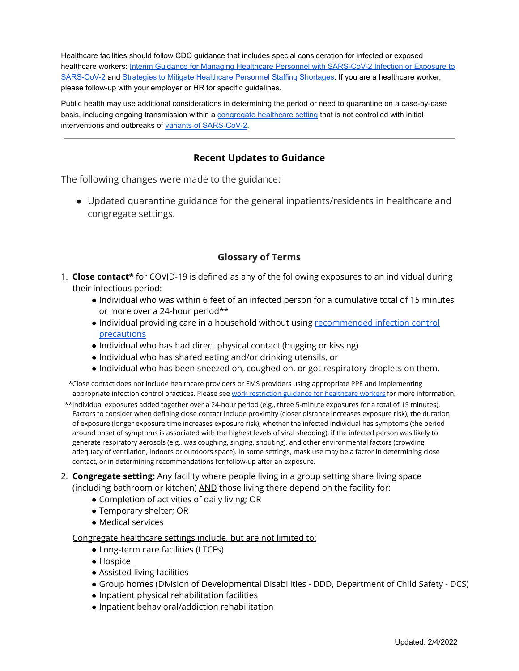Healthcare facilities should follow CDC guidance that includes special consideration for infected or exposed healthcare workers: Interim Guidance for Managing [Healthcare Personnel with SARS-CoV-2 Infection or Exposure to](https://www.cdc.gov/coronavirus/2019-ncov/hcp/guidance-risk-assesment-hcp.html?CDC_AA_refVal=https%3A%2F%2Fwww.cdc.gov%2Fcoronavirus%2F2019-ncov%2Fhcp%2Freturn-to-work.html) [SARS-CoV-2](https://www.cdc.gov/coronavirus/2019-ncov/hcp/guidance-risk-assesment-hcp.html?CDC_AA_refVal=https%3A%2F%2Fwww.cdc.gov%2Fcoronavirus%2F2019-ncov%2Fhcp%2Freturn-to-work.html) and [Strategies to Mitigate Healthcare Personnel](https://www.cdc.gov/coronavirus/2019-ncov/hcp/mitigating-staff-shortages.html) Staffing Shortages. If you are a healthcare worker, please follow-up with your employer or HR for specific guidelines.

Public health may use additional considerations in determining the period or need to quarantine on a case-by-case basis, including ongoing transmission within a congregate [healthcare setting](#page-4-0) that is not controlled with initial interventions and outbreaks of [variants of SARS-CoV-2.](https://www.cdc.gov/coronavirus/2019-ncov/cases-updates/variant-surveillance/variant-info.html)

# **Recent Updates to Guidance**

<span id="page-4-1"></span>The following changes were made to the guidance:

● Updated quarantine guidance for the general inpatients/residents in healthcare and congregate settings.

# **Glossary of Terms**

- <span id="page-4-0"></span>1. **Close contact\*** for COVID-19 is defined as any of the following exposures to an individual during their infectious period:
	- Individual who was within 6 feet of an infected person for a cumulative total of 15 minutes or more over a 24-hour period\*\*
	- Individual providing care in a household without using [recommended](https://www.cdc.gov/coronavirus/2019-ncov/if-you-are-sick/index.html?CDC_AA_refVal=https%3A%2F%2Fwww.cdc.gov%2Fcoronavirus%2F2019-ncov%2Fhcp%2Fguidance-prevent-spread.html) infection control [precautions](https://www.cdc.gov/coronavirus/2019-ncov/if-you-are-sick/index.html?CDC_AA_refVal=https%3A%2F%2Fwww.cdc.gov%2Fcoronavirus%2F2019-ncov%2Fhcp%2Fguidance-prevent-spread.html)
	- Individual who has had direct physical contact (hugging or kissing)
	- Individual who has shared eating and/or drinking utensils, or
	- Individual who has been sneezed on, coughed on, or got respiratory droplets on them.

\*Close contact does not include healthcare providers or EMS providers using appropriate PPE and implementing appropriate infection control practices. Please see work restriction guidance for [healthcare](https://www.cdc.gov/coronavirus/2019-ncov/hcp/guidance-risk-assesment-hcp.html) workers for more information.

- \*\*Individual exposures added together over a 24-hour period (e.g., three 5-minute exposures for a total of 15 minutes). Factors to consider when defining close contact include proximity (closer distance increases exposure risk), the duration of exposure (longer exposure time increases exposure risk), whether the infected individual has symptoms (the period around onset of symptoms is associated with the highest levels of viral shedding), if the infected person was likely to generate respiratory aerosols (e.g., was coughing, singing, shouting), and other environmental factors (crowding, adequacy of ventilation, indoors or outdoors space). In some settings, mask use may be a factor in determining close contact, or in determining recommendations for follow-up after an exposure.
- 2. **Congregate setting:** Any facility where people living in a group setting share living space (including bathroom or kitchen) AND those living there depend on the facility for:
	- Completion of activities of daily living; OR
	- Temporary shelter; OR
	- Medical services

Congregate healthcare settings include, but are not limited to:

- Long-term care facilities (LTCFs)
- Hospice
- Assisted living facilities
- Group homes (Division of Developmental Disabilities DDD, Department of Child Safety DCS)
- Inpatient physical rehabilitation facilities
- Inpatient behavioral/addiction rehabilitation